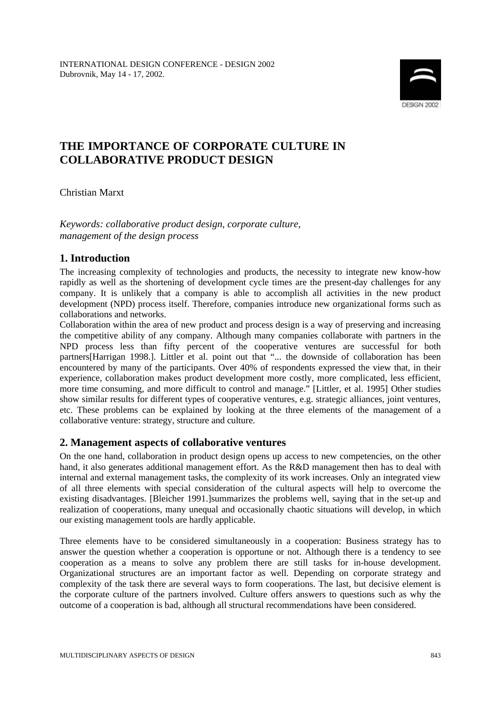

# **THE IMPORTANCE OF CORPORATE CULTURE IN COLLABORATIVE PRODUCT DESIGN**

Christian Marxt

*Keywords: collaborative product design, corporate culture, management of the design process*

# **1. Introduction**

The increasing complexity of technologies and products, the necessity to integrate new know-how rapidly as well as the shortening of development cycle times are the present-day challenges for any company. It is unlikely that a company is able to accomplish all activities in the new product development (NPD) process itself. Therefore, companies introduce new organizational forms such as collaborations and networks.

Collaboration within the area of new product and process design is a way of preserving and increasing the competitive ability of any company. Although many companies collaborate with partners in the NPD process less than fifty percent of the cooperative ventures are successful for both partners[Harrigan 1998.]. Littler et al. point out that "... the downside of collaboration has been encountered by many of the participants. Over 40% of respondents expressed the view that, in their experience, collaboration makes product development more costly, more complicated, less efficient, more time consuming, and more difficult to control and manage." [Littler, et al. 1995] Other studies show similar results for different types of cooperative ventures, e.g. strategic alliances, joint ventures, etc. These problems can be explained by looking at the three elements of the management of a collaborative venture: strategy, structure and culture.

# **2. Management aspects of collaborative ventures**

On the one hand, collaboration in product design opens up access to new competencies, on the other hand, it also generates additional management effort. As the R&D management then has to deal with internal and external management tasks, the complexity of its work increases. Only an integrated view of all three elements with special consideration of the cultural aspects will help to overcome the existing disadvantages. [Bleicher 1991.]summarizes the problems well, saying that in the set-up and realization of cooperations, many unequal and occasionally chaotic situations will develop, in which our existing management tools are hardly applicable.

Three elements have to be considered simultaneously in a cooperation: Business strategy has to answer the question whether a cooperation is opportune or not. Although there is a tendency to see cooperation as a means to solve any problem there are still tasks for in-house development. Organizational structures are an important factor as well. Depending on corporate strategy and complexity of the task there are several ways to form cooperations. The last, but decisive element is the corporate culture of the partners involved. Culture offers answers to questions such as why the outcome of a cooperation is bad, although all structural recommendations have been considered.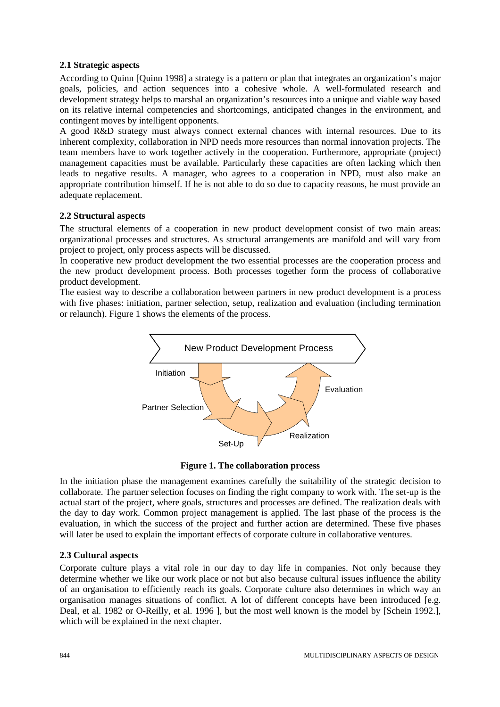#### **2.1 Strategic aspects**

According to Quinn [Quinn 1998] a strategy is a pattern or plan that integrates an organization's major goals, policies, and action sequences into a cohesive whole. A well-formulated research and development strategy helps to marshal an organization's resources into a unique and viable way based on its relative internal competencies and shortcomings, anticipated changes in the environment, and contingent moves by intelligent opponents.

A good R&D strategy must always connect external chances with internal resources. Due to its inherent complexity, collaboration in NPD needs more resources than normal innovation projects. The team members have to work together actively in the cooperation. Furthermore, appropriate (project) management capacities must be available. Particularly these capacities are often lacking which then leads to negative results. A manager, who agrees to a cooperation in NPD, must also make an appropriate contribution himself. If he is not able to do so due to capacity reasons, he must provide an adequate replacement.

#### **2.2 Structural aspects**

The structural elements of a cooperation in new product development consist of two main areas: organizational processes and structures. As structural arrangements are manifold and will vary from project to project, only process aspects will be discussed.

In cooperative new product development the two essential processes are the cooperation process and the new product development process. Both processes together form the process of collaborative product development.

The easiest way to describe a collaboration between partners in new product development is a process with five phases: initiation, partner selection, setup, realization and evaluation (including termination or relaunch). Figure 1 shows the elements of the process.



**Figure 1. The collaboration process**

In the initiation phase the management examines carefully the suitability of the strategic decision to collaborate. The partner selection focuses on finding the right company to work with. The set-up is the actual start of the project, where goals, structures and processes are defined. The realization deals with the day to day work. Common project management is applied. The last phase of the process is the evaluation, in which the success of the project and further action are determined. These five phases will later be used to explain the important effects of corporate culture in collaborative ventures.

## **2.3 Cultural aspects**

Corporate culture plays a vital role in our day to day life in companies. Not only because they determine whether we like our work place or not but also because cultural issues influence the ability of an organisation to efficiently reach its goals. Corporate culture also determines in which way an organisation manages situations of conflict. A lot of different concepts have been introduced [e.g. Deal, et al. 1982 or O-Reilly, et al. 1996 ], but the most well known is the model by [Schein 1992.], which will be explained in the next chapter.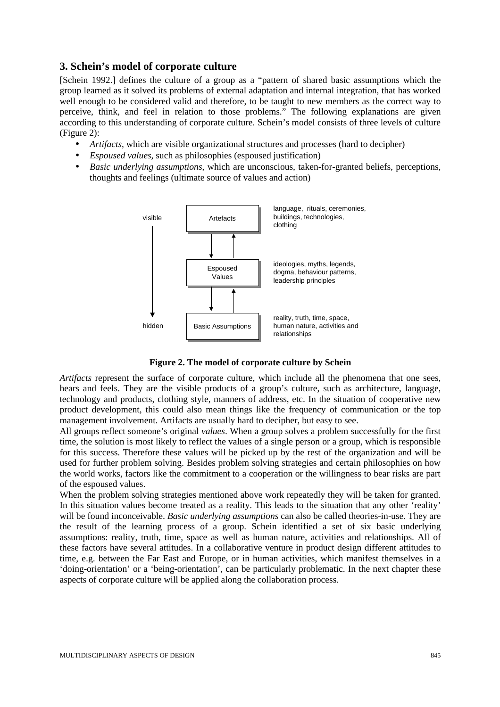## **3. Schein's model of corporate culture**

[Schein 1992.] defines the culture of a group as a "pattern of shared basic assumptions which the group learned as it solved its problems of external adaptation and internal integration, that has worked well enough to be considered valid and therefore, to be taught to new members as the correct way to perceive, think, and feel in relation to those problems." The following explanations are given according to this understanding of corporate culture. Schein's model consists of three levels of culture (Figure 2):

- *Artifacts*, which are visible organizational structures and processes (hard to decipher)
- *Espoused values*, such as philosophies (espoused justification)
- *Basic underlying assumptions*, which are unconscious, taken-for-granted beliefs, perceptions, thoughts and feelings (ultimate source of values and action)



**Figure 2. The model of corporate culture by Schein**

*Artifacts* represent the surface of corporate culture, which include all the phenomena that one sees, hears and feels. They are the visible products of a group's culture, such as architecture, language, technology and products, clothing style, manners of address, etc. In the situation of cooperative new product development, this could also mean things like the frequency of communication or the top management involvement. Artifacts are usually hard to decipher, but easy to see.

All groups reflect someone's original *values*. When a group solves a problem successfully for the first time, the solution is most likely to reflect the values of a single person or a group, which is responsible for this success. Therefore these values will be picked up by the rest of the organization and will be used for further problem solving. Besides problem solving strategies and certain philosophies on how the world works, factors like the commitment to a cooperation or the willingness to bear risks are part of the espoused values.

When the problem solving strategies mentioned above work repeatedly they will be taken for granted. In this situation values become treated as a reality. This leads to the situation that any other 'reality' will be found inconceivable. *Basic underlying assumptions* can also be called theories-in-use. They are the result of the learning process of a group. Schein identified a set of six basic underlying assumptions: reality, truth, time, space as well as human nature, activities and relationships. All of these factors have several attitudes. In a collaborative venture in product design different attitudes to time, e.g. between the Far East and Europe, or in human activities, which manifest themselves in a 'doing-orientation' or a 'being-orientation', can be particularly problematic. In the next chapter these aspects of corporate culture will be applied along the collaboration process.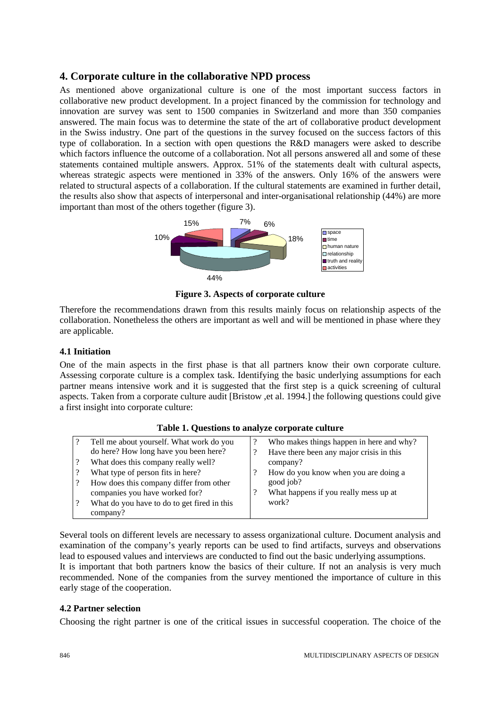# **4. Corporate culture in the collaborative NPD process**

As mentioned above organizational culture is one of the most important success factors in collaborative new product development. In a project financed by the commission for technology and innovation are survey was sent to 1500 companies in Switzerland and more than 350 companies answered. The main focus was to determine the state of the art of collaborative product development in the Swiss industry. One part of the questions in the survey focused on the success factors of this type of collaboration. In a section with open questions the R&D managers were asked to describe which factors influence the outcome of a collaboration. Not all persons answered all and some of these statements contained multiple answers. Approx. 51% of the statements dealt with cultural aspects, whereas strategic aspects were mentioned in 33% of the answers. Only 16% of the answers were related to structural aspects of a collaboration. If the cultural statements are examined in further detail, the results also show that aspects of interpersonal and inter-organisational relationship (44%) are more important than most of the others together (figure 3).



**Figure 3. Aspects of corporate culture**

Therefore the recommendations drawn from this results mainly focus on relationship aspects of the collaboration. Nonetheless the others are important as well and will be mentioned in phase where they are applicable.

#### **4.1 Initiation**

One of the main aspects in the first phase is that all partners know their own corporate culture. Assessing corporate culture is a complex task. Identifying the basic underlying assumptions for each partner means intensive work and it is suggested that the first step is a quick screening of cultural aspects. Taken from a corporate culture audit [Bristow ,et al. 1994.] the following questions could give a first insight into corporate culture:

| Tell me about yourself. What work do you    | Who makes things happen in here and why? |
|---------------------------------------------|------------------------------------------|
| do here? How long have you been here?       | Have there been any major crisis in this |
| What does this company really well?         | company?                                 |
| What type of person fits in here?           | How do you know when you are doing a     |
| How does this company differ from other     | good job?                                |
| companies you have worked for?              | What happens if you really mess up at    |
| What do you have to do to get fired in this | work?                                    |
| company?                                    |                                          |

#### **Table 1. Questions to analyze corporate culture**

Several tools on different levels are necessary to assess organizational culture. Document analysis and examination of the company's yearly reports can be used to find artifacts, surveys and observations lead to espoused values and interviews are conducted to find out the basic underlying assumptions. It is important that both partners know the basics of their culture. If not an analysis is very much recommended. None of the companies from the survey mentioned the importance of culture in this early stage of the cooperation.

#### **4.2 Partner selection**

Choosing the right partner is one of the critical issues in successful cooperation. The choice of the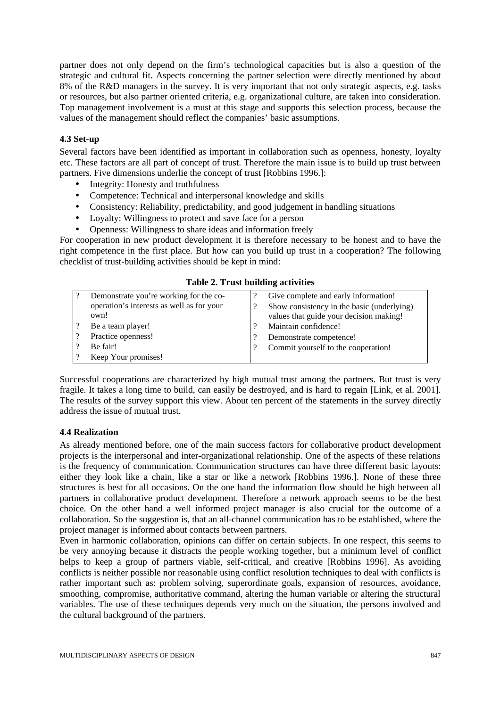partner does not only depend on the firm's technological capacities but is also a question of the strategic and cultural fit. Aspects concerning the partner selection were directly mentioned by about 8% of the R&D managers in the survey. It is very important that not only strategic aspects, e.g. tasks or resources, but also partner oriented criteria, e.g. organizational culture, are taken into consideration. Top management involvement is a must at this stage and supports this selection process, because the values of the management should reflect the companies' basic assumptions.

### **4.3 Set-up**

Several factors have been identified as important in collaboration such as openness, honesty, loyalty etc. These factors are all part of concept of trust. Therefore the main issue is to build up trust between partners. Five dimensions underlie the concept of trust [Robbins 1996.]:

- Integrity: Honesty and truthfulness
- Competence: Technical and interpersonal knowledge and skills
- Consistency: Reliability, predictability, and good judgement in handling situations
- Loyalty: Willingness to protect and save face for a person
- Openness: Willingness to share ideas and information freely

For cooperation in new product development it is therefore necessary to be honest and to have the right competence in the first place. But how can you build up trust in a cooperation? The following checklist of trust-building activities should be kept in mind:

|  |  |  |  |  | <b>Table 2. Trust building activities</b> |
|--|--|--|--|--|-------------------------------------------|
|--|--|--|--|--|-------------------------------------------|

| Demonstrate you're working for the co-    | Give complete and early information!       |
|-------------------------------------------|--------------------------------------------|
| operation's interests as well as for your | Show consistency in the basic (underlying) |
| own!                                      | values that guide your decision making!    |
| Be a team player!                         | Maintain confidence!                       |
| Practice openness!                        | Demonstrate competence!                    |
| Be fair!                                  | Commit yourself to the cooperation!        |
| Keep Your promises!                       |                                            |

Successful cooperations are characterized by high mutual trust among the partners. But trust is very fragile. It takes a long time to build, can easily be destroyed, and is hard to regain [Link, et al. 2001]. The results of the survey support this view. About ten percent of the statements in the survey directly address the issue of mutual trust.

#### **4.4 Realization**

As already mentioned before, one of the main success factors for collaborative product development projects is the interpersonal and inter-organizational relationship. One of the aspects of these relations is the frequency of communication. Communication structures can have three different basic layouts: either they look like a chain, like a star or like a network [Robbins 1996.]. None of these three structures is best for all occasions. On the one hand the information flow should be high between all partners in collaborative product development. Therefore a network approach seems to be the best choice. On the other hand a well informed project manager is also crucial for the outcome of a collaboration. So the suggestion is, that an all-channel communication has to be established, where the project manager is informed about contacts between partners.

Even in harmonic collaboration, opinions can differ on certain subjects. In one respect, this seems to be very annoying because it distracts the people working together, but a minimum level of conflict helps to keep a group of partners viable, self-critical, and creative [Robbins 1996]. As avoiding conflicts is neither possible nor reasonable using conflict resolution techniques to deal with conflicts is rather important such as: problem solving, superordinate goals, expansion of resources, avoidance, smoothing, compromise, authoritative command, altering the human variable or altering the structural variables. The use of these techniques depends very much on the situation, the persons involved and the cultural background of the partners.